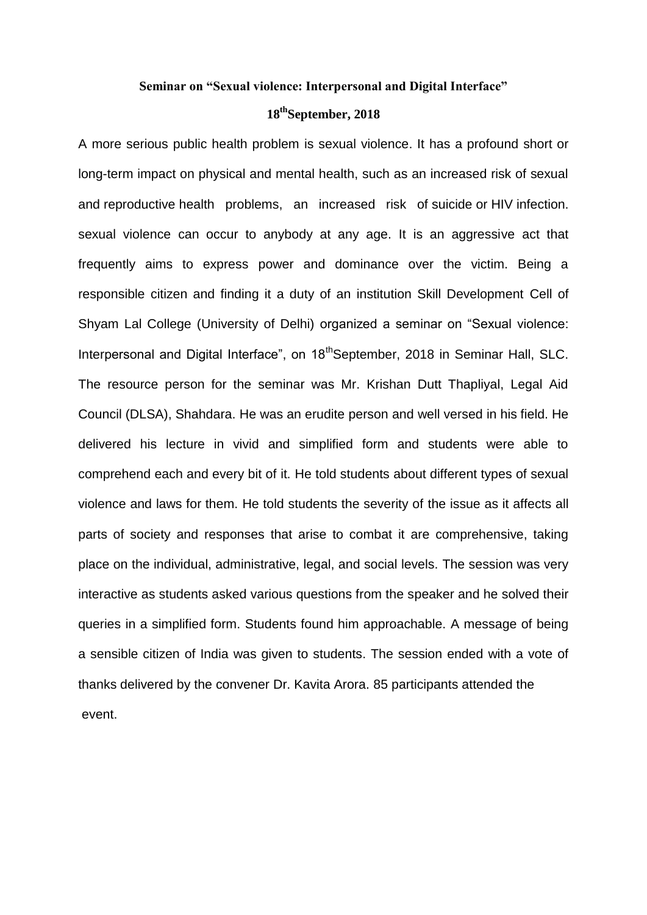## **Seminar on "Sexual violence: Interpersonal and Digital Interface"**

## **18thSeptember, 2018**

A more serious public health problem is sexual violence. It has a profound short or long-term impact on physical and mental health, such as an increased risk of sexual and reproductive health problems, an increased risk of suicide or HIV infection. sexual violence can occur to anybody at any age. It is an aggressive act that frequently aims to express power and dominance over the victim. Being a responsible citizen and finding it a duty of an institution Skill Development Cell of Shyam Lal College (University of Delhi) organized a seminar on "Sexual violence: Interpersonal and Digital Interface", on 18<sup>th</sup>September, 2018 in Seminar Hall, SLC. The resource person for the seminar was Mr. Krishan Dutt Thapliyal, Legal Aid Council (DLSA), Shahdara. He was an erudite person and well versed in his field. He delivered his lecture in vivid and simplified form and students were able to comprehend each and every bit of it. He told students about different types of sexual violence and laws for them. He told students the severity of the issue as it affects all parts of society and responses that arise to combat it are comprehensive, taking place on the individual, administrative, legal, and social levels. The session was very interactive as students asked various questions from the speaker and he solved their queries in a simplified form. Students found him approachable. A message of being a sensible citizen of India was given to students. The session ended with a vote of thanks delivered by the convener Dr. Kavita Arora. 85 participants attended the event.